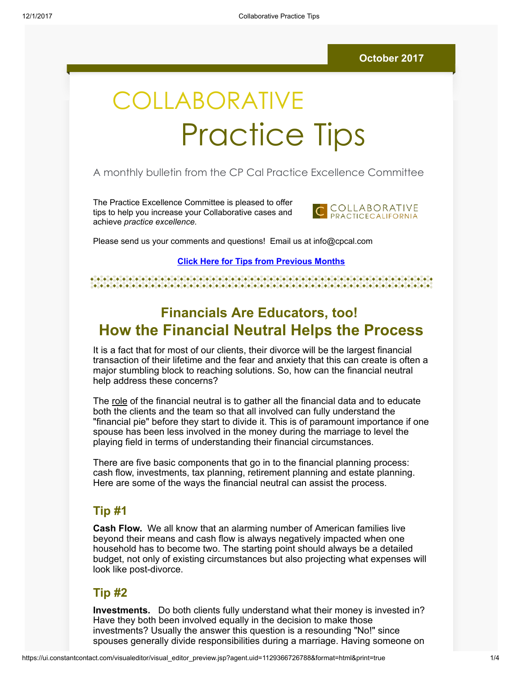# COLLABORATIVE Practice Tips

### A monthly bulletin from the CP Cal Practice Excellence Committee

The Practice Excellence Committee is pleased to offer tips to help you increase your Collaborative cases and achieve practice excellence.



Please send us your comments and questions! Email us at info@cpcal.com

#### Click Here for Tips from [Previous](https://www.dropbox.com/sh/nns7xqfkrgzi7sx/AACnvsWvEnTcndxaKdXGRv_Pa?dl=0) Months

#### 

# Financials Are Educators, too! How the Financial Neutral Helps the Process

It is a fact that for most of our clients, their divorce will be the largest financial transaction of their lifetime and the fear and anxiety that this can create is often a major stumbling block to reaching solutions. So, how can the financial neutral help address these concerns?

The role of the financial neutral is to gather all the financial data and to educate both the clients and the team so that all involved can fully understand the "financial pie" before they start to divide it. This is of paramount importance if one spouse has been less involved in the money during the marriage to level the playing field in terms of understanding their financial circumstances.

There are five basic components that go in to the financial planning process: cash flow, investments, tax planning, retirement planning and estate planning. Here are some of the ways the financial neutral can assist the process.

## Tip #1

Cash Flow. We all know that an alarming number of American families live beyond their means and cash flow is always negatively impacted when one household has to become two. The starting point should always be a detailed budget, not only of existing circumstances but also projecting what expenses will look like post-divorce.

### Tip #2

Investments. Do both clients fully understand what their money is invested in? Have they both been involved equally in the decision to make those investments? Usually the answer this question is a resounding "No!" since spouses generally divide responsibilities during a marriage. Having someone on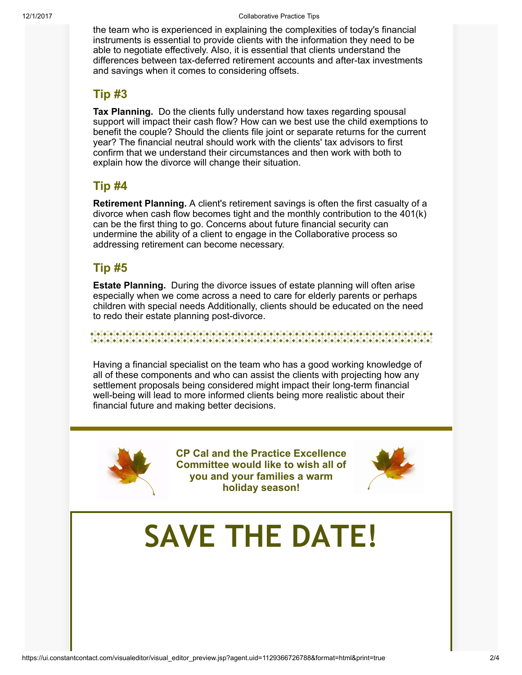the team who is experienced in explaining the complexities of today's financial instruments is essential to provide clients with the information they need to be able to negotiate effectively. Also, it is essential that clients understand the differences between tax-deferred retirement accounts and after-tax investments and savings when it comes to considering offsets.

# Tip #3

Tax Planning. Do the clients fully understand how taxes regarding spousal support will impact their cash flow? How can we best use the child exemptions to benefit the couple? Should the clients file joint or separate returns for the current year? The financial neutral should work with the clients' tax advisors to first confirm that we understand their circumstances and then work with both to explain how the divorce will change their situation.

# Tip #4

Retirement Planning. A client's retirement savings is often the first casualty of a divorce when cash flow becomes tight and the monthly contribution to the 401(k) can be the first thing to go. Concerns about future financial security can undermine the ability of a client to engage in the Collaborative process so addressing retirement can become necessary.

# Tip #5

Estate Planning. During the divorce issues of estate planning will often arise especially when we come across a need to care for elderly parents or perhaps children with special needs Additionally, clients should be educated on the need to redo their estate planning post-divorce.

#### 

Having a financial specialist on the team who has a good working knowledge of all of these components and who can assist the clients with projecting how any settlement proposals being considered might impact their long-term financial well-being will lead to more informed clients being more realistic about their financial future and making better decisions.



CP Cal and the Practice Excellence Committee would like to wish all of you and your families a warm holiday season!



# SAVE THE DATE!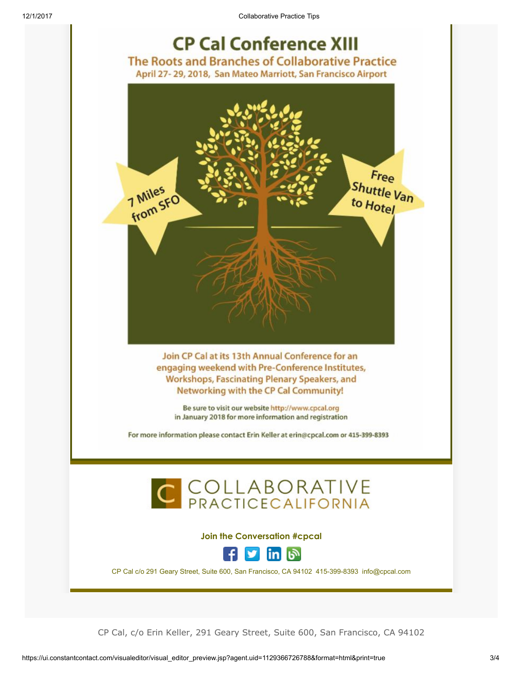12/1/2017 Collaborative Practice Tips



CP Cal, c/o Erin Keller, 291 Geary Street, Suite 600, San Francisco, CA 94102